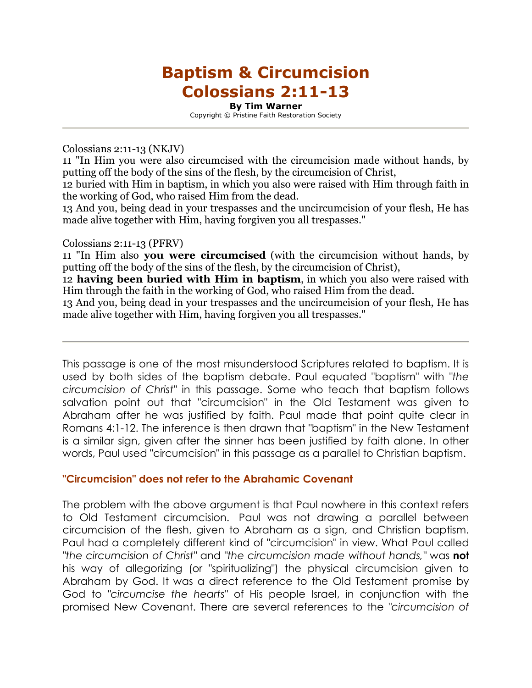# Baptism & Circumcision Colossians 2:11-13

By Tim Warner Copyright © Pristine Faith Restoration Society

Colossians 2:11-13 (NKJV)

11 "In Him you were also circumcised with the circumcision made without hands, by putting off the body of the sins of the flesh, by the circumcision of Christ,

12 buried with Him in baptism, in which you also were raised with Him through faith in the working of God, who raised Him from the dead.

13 And you, being dead in your trespasses and the uncircumcision of your flesh, He has made alive together with Him, having forgiven you all trespasses."

Colossians 2:11-13 (PFRV)

11 "In Him also **you were circumcised** (with the circumcision without hands, by putting off the body of the sins of the flesh, by the circumcision of Christ),

12 having been buried with Him in baptism, in which you also were raised with Him through the faith in the working of God, who raised Him from the dead.

13 And you, being dead in your trespasses and the uncircumcision of your flesh, He has made alive together with Him, having forgiven you all trespasses."

This passage is one of the most misunderstood Scriptures related to baptism. It is used by both sides of the baptism debate. Paul equated "baptism" with *"the circumcision of Christ"* in this passage. Some who teach that baptism follows salvation point out that "circumcision" in the Old Testament was given to Abraham after he was justified by faith. Paul made that point quite clear in Romans 4:1-12. The inference is then drawn that "baptism" in the New Testament is a similar sign, given after the sinner has been justified by faith alone. In other words, Paul used "circumcision" in this passage as a parallel to Christian baptism.

## "Circumcision" does not refer to the Abrahamic Covenant

The problem with the above argument is that Paul nowhere in this context refers to Old Testament circumcision. Paul was not drawing a parallel between circumcision of the flesh, given to Abraham as a sign, and Christian baptism. Paul had a completely different kind of "circumcision" in view. What Paul called *"the circumcision of Christ"* and *"the circumcision made without hands,"* was not his way of allegorizing (or "spiritualizing") the physical circumcision given to Abraham by God. It was a direct reference to the Old Testament promise by God to *"circumcise the hearts"* of His people Israel, in conjunction with the promised New Covenant. There are several references to the *"circumcision of*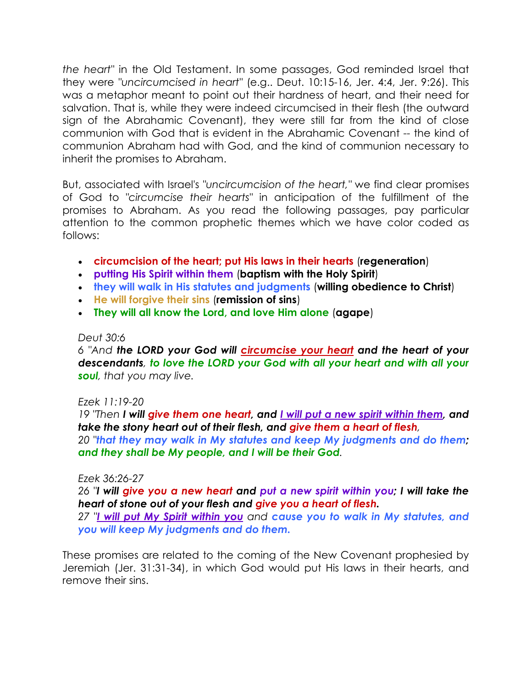*the heart"* in the Old Testament. In some passages, God reminded Israel that they were *"uncircumcised in heart"* (e.g.. Deut. 10:15-16, Jer. 4:4, Jer. 9:26). This was a metaphor meant to point out their hardness of heart, and their need for salvation. That is, while they were indeed circumcised in their flesh (the outward sign of the Abrahamic Covenant), they were still far from the kind of close communion with God that is evident in the Abrahamic Covenant -- the kind of communion Abraham had with God, and the kind of communion necessary to inherit the promises to Abraham.

But, associated with Israel's *"uncircumcision of the heart,"* we find clear promises of God to *"circumcise their hearts"* in anticipation of the fulfillment of the promises to Abraham. As you read the following passages, pay particular attention to the common prophetic themes which we have color coded as follows:

- circumcision of the heart; put His laws in their hearts (regeneration)
- putting His Spirit within them (baptism with the Holy Spirit)
- they will walk in His statutes and judgments (willing obedience to Christ)
- He will forgive their sins (remission of sins)
- They will all know the Lord, and love Him alone (agape)

and they shall be My people, and I will be their God*.* 

#### *Deut 30:6*

*6 "And* the LORD your God will circumcise your heart and the heart of your descendants*,* to love the LORD your God with all your heart and with all your soul*, that you may live.* 

## *Ezek 11:19-20*

*19 "Then* I will give them one heart, and I will put a new spirit within them, and take the stony heart out of their flesh, and give them a heart of flesh*, 20 "*that they may walk in My statutes and keep My judgments and do them;

#### *Ezek 36:26-27*

*26 "*I will give you a new heart and put a new spirit within you; I will take the heart of stone out of your flesh and give you a heart of flesh.

*27 "*I will put My Spirit within you *and* cause you to walk in My statutes, and you will keep My judgments and do them.

These promises are related to the coming of the New Covenant prophesied by Jeremiah (Jer. 31:31-34), in which God would put His laws in their hearts, and remove their sins.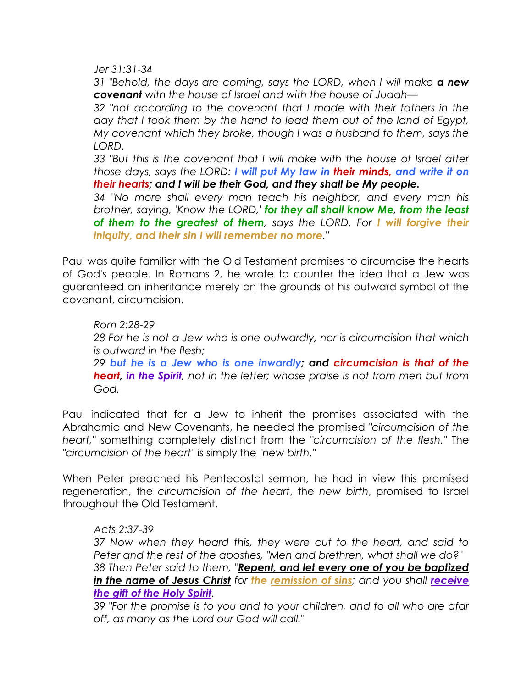*Jer 31:31-34* 

*31 "Behold, the days are coming, says the LORD, when I will make* a new covenant *with the house of Israel and with the house of Judah—* 

*32 "not according to the covenant that I made with their fathers in the day that I took them by the hand to lead them out of the land of Egypt, My covenant which they broke, though I was a husband to them, says the LORD.* 

*33 "But this is the covenant that I will make with the house of Israel after those days, says the LORD:* I will put My law in their minds, and write it on their hearts; and I will be their God, and they shall be My people.

*34 "No more shall every man teach his neighbor, and every man his brother, saying, 'Know the LORD,'* for they all shall know Me*,* from the least of them to the greatest of them*, says the LORD. For* I will forgive their iniquity, and their sin I will remember no more*."* 

Paul was quite familiar with the Old Testament promises to circumcise the hearts of God's people. In Romans 2, he wrote to counter the idea that a Jew was guaranteed an inheritance merely on the grounds of his outward symbol of the covenant, circumcision.

*Rom 2:28-29 28 For he is not a Jew who is one outwardly, nor is circumcision that which is outward in the flesh; 29* but he is a Jew who is one inwardly; and circumcision is that of the heart, in the Spirit*, not in the letter; whose praise is not from men but from God.* 

Paul indicated that for a Jew to inherit the promises associated with the Abrahamic and New Covenants, he needed the promised *"circumcision of the heart,"* something completely distinct from the *"circumcision of the flesh."* The *"circumcision of the heart"* is simply the *"new birth."* 

When Peter preached his Pentecostal sermon, he had in view this promised regeneration, the *circumcision of the heart*, the *new birth*, promised to Israel throughout the Old Testament.

## *Acts 2:37-39*

*37 Now when they heard this, they were cut to the heart, and said to Peter and the rest of the apostles, "Men and brethren, what shall we do?" 38 Then Peter said to them, "*Repent, and let every one of you be baptized in the name of Jesus Christ for the remission of sins; and you shall *receive* the gift of the Holy Spirit*.* 

*39 "For the promise is to you and to your children, and to all who are afar off, as many as the Lord our God will call."*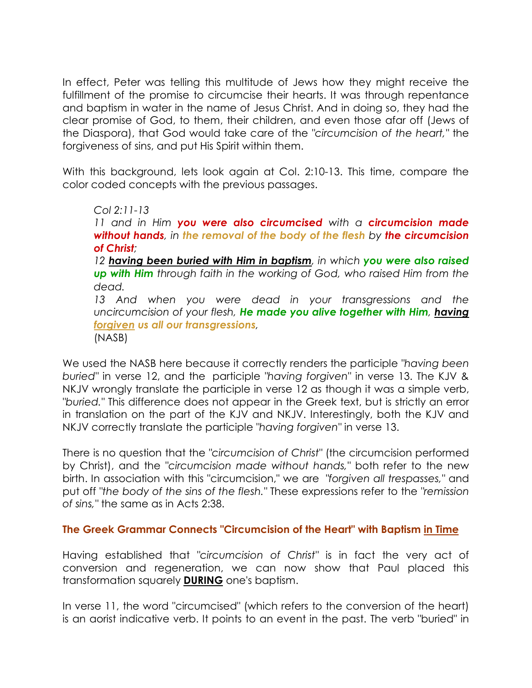In effect, Peter was telling this multitude of Jews how they might receive the fulfillment of the promise to circumcise their hearts. It was through repentance and baptism in water in the name of Jesus Christ. And in doing so, they had the clear promise of God, to them, their children, and even those afar off (Jews of the Diaspora), that God would take care of the *"circumcision of the heart,"* the forgiveness of sins, and put His Spirit within them.

With this background, lets look again at Col. 2:10-13. This time, compare the color coded concepts with the previous passages.

*Col 2:11-13 11 and in Him* you were also circumcised *with a* circumcision made without hands*, in* the removal of the body of the flesh *by* the circumcision of Christ*; 12* having been buried with Him in baptism*, in which* you were also raised up with Him *through faith in the working of God, who raised Him from the dead. 13 And when you were dead in your transgressions and the uncircumcision of your flesh,* He made you alive together with Him*,* having forgiven us all our transgressions*,*  (NASB)

We used the NASB here because it correctly renders the participle *"having been buried"* in verse 12, and the participle *"having forgiven"* in verse 13. The KJV & NKJV wrongly translate the participle in verse 12 as though it was a simple verb, *"buried."* This difference does not appear in the Greek text, but is strictly an error in translation on the part of the KJV and NKJV. Interestingly, both the KJV and NKJV correctly translate the participle *"having forgiven"* in verse 13.

There is no question that the *"circumcision of Christ"* (the circumcision performed by Christ), and the *"circumcision made without hands,"* both refer to the new birth. In association with this "circumcision," we are *"forgiven all trespasses,"* and put off *"the body of the sins of the flesh."* These expressions refer to the *"remission of sins,"* the same as in Acts 2:38.

## The Greek Grammar Connects "Circumcision of the Heart" with Baptism in Time

Having established that *"circumcision of Christ"* is in fact the very act of conversion and regeneration, we can now show that Paul placed this transformation squarely **DURING** one's baptism.

In verse 11, the word "circumcised" (which refers to the conversion of the heart) is an aorist indicative verb. It points to an event in the past. The verb "buried" in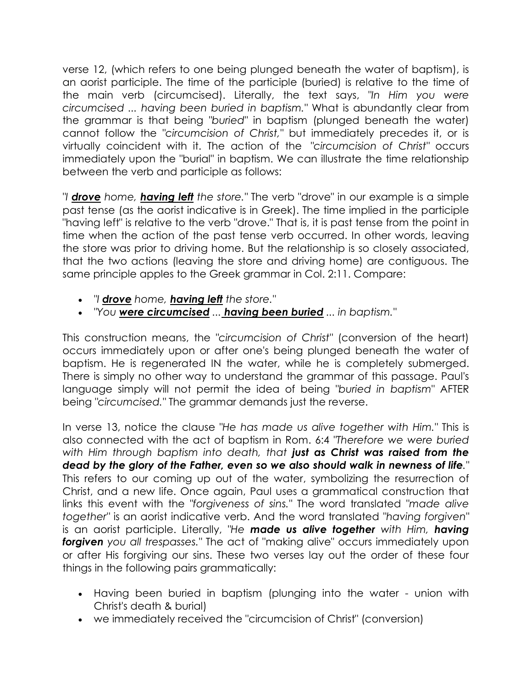verse 12, (which refers to one being plunged beneath the water of baptism), is an aorist participle. The time of the participle (buried) is relative to the time of the main verb (circumcised). Literally, the text says, *"In Him you were circumcised ... having been buried in baptism."* What is abundantly clear from the grammar is that being *"buried"* in baptism (plunged beneath the water) cannot follow the *"circumcision of Christ,"* but immediately precedes it, or is virtually coincident with it. The action of the *"circumcision of Christ"* occurs immediately upon the "burial" in baptism. We can illustrate the time relationship between the verb and participle as follows:

*"I* drove *home,* having left *the store."* The verb "drove" in our example is a simple past tense (as the aorist indicative is in Greek). The time implied in the participle "having left" is relative to the verb "drove." That is, it is past tense from the point in time when the action of the past tense verb occurred. In other words, leaving the store was prior to driving home. But the relationship is so closely associated, that the two actions (leaving the store and driving home) are contiguous. The same principle apples to the Greek grammar in Col. 2:11. Compare:

- *"I* drove *home,* having left *the store."*
- *"You* were circumcised *...* having been buried *... in baptism."*

This construction means, the *"circumcision of Christ"* (conversion of the heart) occurs immediately upon or after one's being plunged beneath the water of baptism. He is regenerated IN the water, while he is completely submerged. There is simply no other way to understand the grammar of this passage. Paul's language simply will not permit the idea of being *"buried in baptism"* AFTER being *"circumcised."* The grammar demands just the reverse.

In verse 13, notice the clause *"He has made us alive together with Him."* This is also connected with the act of baptism in Rom. 6:4 *"Therefore we were buried with Him through baptism into death, that* just as Christ was raised from the dead by the glory of the Father, even so we also should walk in newness of life*."* This refers to our coming up out of the water, symbolizing the resurrection of Christ, and a new life. Once again, Paul uses a grammatical construction that links this event with the *"forgiveness of sins."* The word translated *"made alive together"* is an aorist indicative verb. And the word translated *"having forgiven"* is an aorist participle. Literally, *"He* made us alive together *with Him,* having forgiven *you all trespasses."* The act of "making alive" occurs immediately upon or after His forgiving our sins. These two verses lay out the order of these four things in the following pairs grammatically:

- Having been buried in baptism (plunging into the water union with Christ's death & burial)
- we immediately received the "circumcision of Christ" (conversion)